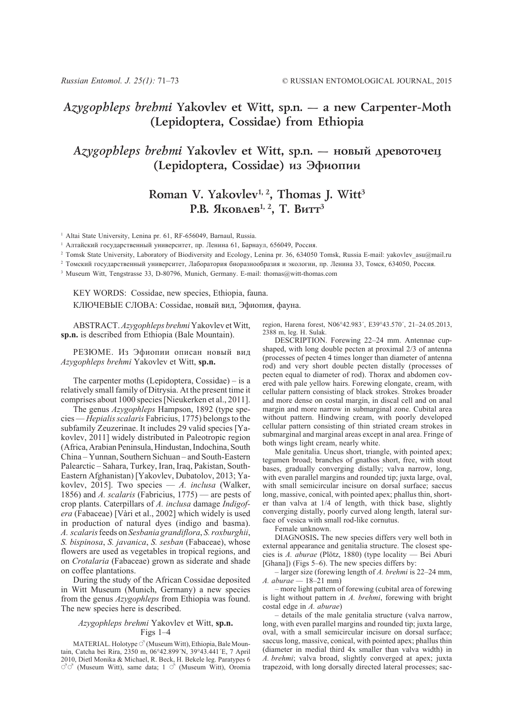### *Azygophleps brehmi* **Yakovlev et Witt, sp.n. — a new Carpenter-Moth (Lepidoptera, Cossidae) from Ethiopia**

# *Azygophleps brehmi* Yakovlev et Witt, sp.n. — новый древоточец **(Lepidoptera, Cossidae) из Эфиопии**

# Roman V. Yakovlev<sup>1, 2</sup>, Thomas J. Witt<sup>3</sup> Р.В. Яковлев<sup>1, 2</sup>, Т. Витт<sup>3</sup>

<sup>1</sup> Altai State University, Lenina pr. 61, RF-656049, Barnaul, Russia.

<sup>1</sup> Алтайский государственный университет, пр. Ленина 61, Барнаул, 656049, Россия.

<sup>2</sup> Tomsk State University, Laboratory of Biodiversity and Ecology, Lenina pr. 36, 634050 Tomsk, Russia E-mail: yakovlev\_asu@mail.ru

<sup>2</sup> Томский государственный университет, Лаборатория биоразнообразия и экологии, пр. Ленина 33, Томск, 634050, Россия.

<sup>3</sup> Museum Witt, Tengstrasse 33, D-80796, Munich, Germany. E-mail: thomas@witt-thomas.com

KEY WORDS: Cossidae, new species, Ethiopia, fauna. КЛЮЧЕВЫЕ СЛОВА: Cossidae, новый вид, Эфиопия, фауна.

ABSTRACT. *Azygophleps brehmi* Yakovlev et Witt, **sp.n.** is described from Ethiopia (Bale Mountain).

РЕЗЮМЕ. Из Эфиопии описан новый вид *Azygophleps brehmi* Yakovlev et Witt, **sp.n.**

The carpenter moths (Lepidoptera, Cossidae) – is a relatively small family of Ditrysia. At the present time it comprises about 1000 species [Nieukerken et al., 2011].

The genus *Azygophleps* Hampson, 1892 (type species — *Hepialis scalaris* Fabricius, 1775) belongs to the subfamily Zeuzerinae. It includes 29 valid species [Yakovlev, 2011] widely distributed in Paleotropic region (Africa, Arabian Peninsula, Hindustan, Indochina, South China – Yunnan, Southern Sichuan – and South-Eastern Palearctic – Sahara, Turkey, Iran, Iraq, Pakistan, South-Eastern Afghanistan) [Yakovlev, Dubatolov, 2013; Yakovlev, 2015]. Two species — *A. inclusa* (Walker, 1856) and *A. scalaris* (Fabricius, 1775) — are pests of crop plants. Caterpillars of *A. inclusa* damage *Indigofera* (Fabaceae) [Vàri et al., 2002] which widely is used in production of natural dyes (indigo and basma). *A. scalaris* feeds on *Sesbania grandiflora*, *S. roxburghii*, *S. bispinosa*, *S. javanica*, *S. sesban* (Fabaceae), whose flowers are used as vegetables in tropical regions, and on *Crotalaria* (Fabaceae) grown as siderate and shade on coffee plantations.

During the study of the African Cossidae deposited in Witt Museum (Munich, Germany) a new species from the genus *Azygophleps* from Ethiopia was found. The new species here is described.

#### *Azygophleps brehmi* Yakovlev et Witt, **sp.n.** Figs 1–4

MATERIAL. Holotype  $\circlearrowleft$  (Museum Witt), Ethiopia, Bale Mountain, Catcha bei Rira, 2350 m, 06°42.899´N, 39°43.441´E, 7 April 2010, Dietl Monika & Michael, R. Beck, H. Bekele leg. Paratypes 6  $\vec{\sigma}$  (Museum Witt), same data; 1  $\vec{\sigma}$  (Museum Witt), Oromia

region, Harena forest, N06°42.983´, E39°43.570´, 21–24.05.2013, 2388 m, leg. H. Sulak.

DESCRIPTION. Forewing 22–24 mm. Antennae cupshaped, with long double pecten at proximal 2/3 of antenna (processes of pecten 4 times longer than diameter of antenna rod) and very short double pecten distally (processes of pecten equal to diameter of rod). Thorax and abdomen covered with pale yellow hairs. Forewing elongate, cream, with cellular pattern consisting of black strokes. Strokes broader and more dense on costal margin, in discal cell and on anal margin and more narrow in submarginal zone. Cubital area without pattern. Hindwing cream, with poorly developed cellular pattern consisting of thin striated cream strokes in submarginal and marginal areas except in anal area. Fringe of both wings light cream, nearly white.

Male genitalia. Uncus short, triangle, with pointed apex; tegumen broad; branches of gnathos short, free, with stout bases, gradually converging distally; valva narrow, long, with even parallel margins and rounded tip; juxta large, oval, with small semicircular incisure on dorsal surface; saccus long, massive, conical, with pointed apex; phallus thin, shorter than valva at 1/4 of length, with thick base, slightly converging distally, poorly curved along length, lateral surface of vesica with small rod-like cornutus.

Female unknown.

DIAGNOSIS**.** The new species differs very well both in external appearance and genitalia structure. The closest species is *A. aburae* (Plötz, 1880) (type locality — Bei Aburi [Ghana]) (Figs 5–6). The new species differs by:

– larger size (forewing length of *A. brehmi* is 22–24 mm, *A. aburae —* 18–21 mm)

– more light pattern of forewing (cubital area of forewing is light without pattern in *A. brehmi*, forewing with bright costal edge in *A. aburae*)

– details of the male genitalia structure (valva narrow, long, with even parallel margins and rounded tip; juxta large, oval, with a small semicircular incisure on dorsal surface; saccus long, massive, conical, with pointed apex; phallus thin (diameter in medial third 4x smaller than valva width) in *A. brehmi*; valva broad, slightly converged at apex; juxta trapezoid, with long dorsally directed lateral processes; sac-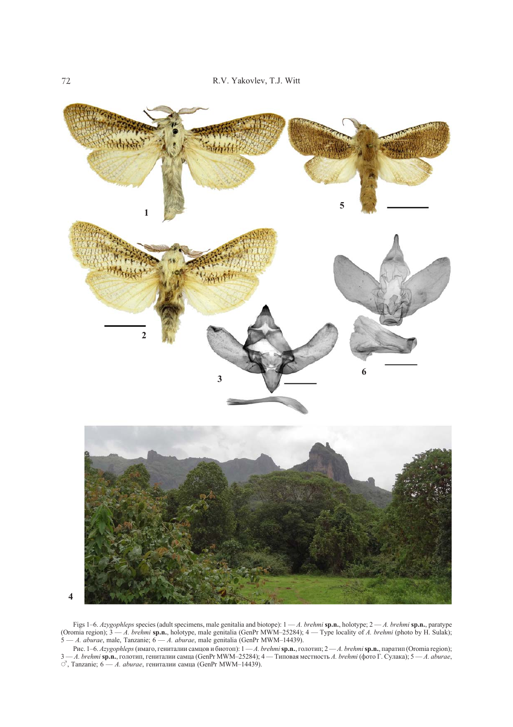

Figs 1–6. *Azygophleps* species (adult specimens, male genitalia and biotope): 1 — *A. brehmi* **sp.n.**, holotype; 2 — *A. brehmi* **sp.n.**, paratype (Oromia region); 3 — *A. brehmi* **sp.n.**, holotype, male genitalia (GenPr MWM–25284); 4 — Type locality of *A. brehmi* (photo by H. Sulak); 5 — *A. aburae*, male, Tanzanie; 6 — *A. aburae*, male genitalia (GenPr MWM–14439).

Рис. 1–6. *Azygophleps* (имаго, гениталии самцов и биотоп): 1 — *A. brehmi* **sp.n.**, голотип; 2 — *A. brehmi* **sp.n.**, паратип (Oromia region); 3 — *A. brehmi* **sp.n.**, голотип, гениталии самца (GenPr MWM–25284); 4 — Типовая местность *A. brehmi* (фото Г. Сулака); 5 — *A. aburae*,  $\circlearrowleft$ , Tanzanie; 6 — *A. aburae*, гениталии самца (GenPr MWM–14439).